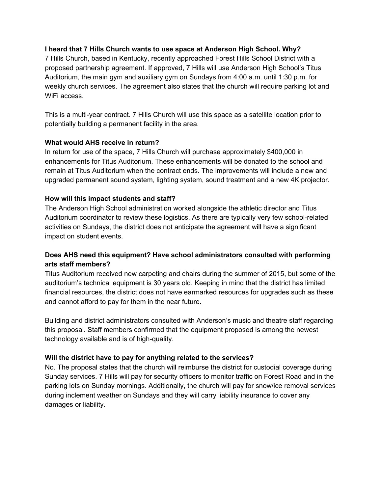### **I heard that 7 Hills Church wants to use space at Anderson High School. Why?**

7 Hills Church, based in Kentucky, recently approached Forest Hills School District with a proposed partnership agreement. If approved, 7 Hills will use Anderson High School's Titus Auditorium, the main gym and auxiliary gym on Sundays from 4:00 a.m. until 1:30 p.m. for weekly church services. The agreement also states that the church will require parking lot and WiFi access.

This is a multi-year contract. 7 Hills Church will use this space as a satellite location prior to potentially building a permanent facility in the area.

### **What would AHS receive in return?**

In return for use of the space, 7 Hills Church will purchase approximately \$400,000 in enhancements for Titus Auditorium. These enhancements will be donated to the school and remain at Titus Auditorium when the contract ends. The improvements will include a new and upgraded permanent sound system, lighting system, sound treatment and a new 4K projector.

### **How will this impact students and staff?**

The Anderson High School administration worked alongside the athletic director and Titus Auditorium coordinator to review these logistics. As there are typically very few school-related activities on Sundays, the district does not anticipate the agreement will have a significant impact on student events.

# **Does AHS need this equipment? Have school administrators consulted with performing arts staff members?**

Titus Auditorium received new carpeting and chairs during the summer of 2015, but some of the auditorium's technical equipment is 30 years old. Keeping in mind that the district has limited financial resources, the district does not have earmarked resources for upgrades such as these and cannot afford to pay for them in the near future.

Building and district administrators consulted with Anderson's music and theatre staff regarding this proposal. Staff members confirmed that the equipment proposed is among the newest technology available and is of high-quality.

## **Will the district have to pay for anything related to the services?**

No. The proposal states that the church will reimburse the district for custodial coverage during Sunday services. 7 Hills will pay for security officers to monitor traffic on Forest Road and in the parking lots on Sunday mornings. Additionally, the church will pay for snow/ice removal services during inclement weather on Sundays and they will carry liability insurance to cover any damages or liability.